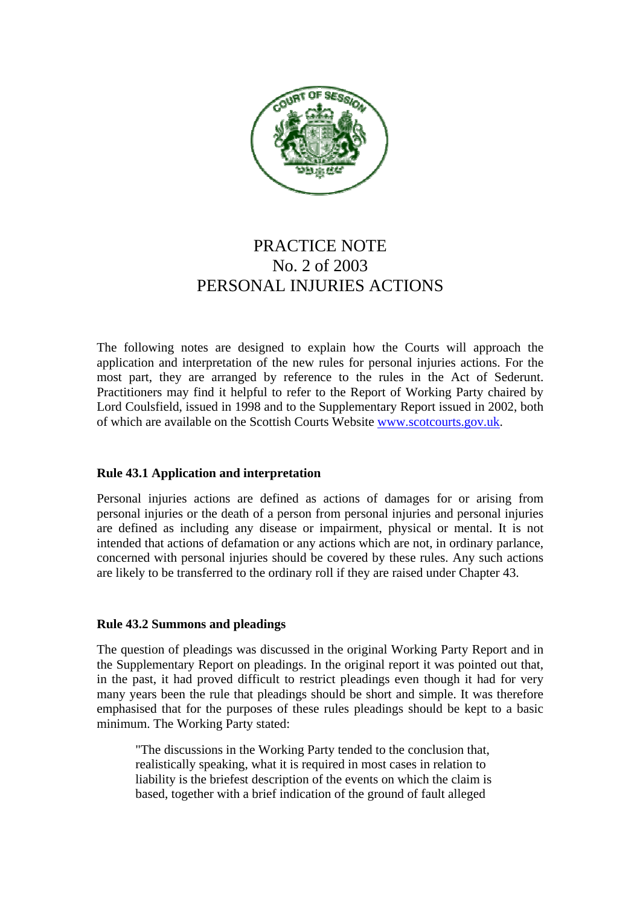

# PRACTICE NOTE No. 2 of 2003 PERSONAL INJURIES ACTIONS

The following notes are designed to explain how the Courts will approach the application and interpretation of the new rules for personal injuries actions. For the most part, they are arranged by reference to the rules in the Act of Sederunt. Practitioners may find it helpful to refer to the Report of Working Party chaired by Lord Coulsfield, issued in 1998 and to the Supplementary Report issued in 2002, both of which are available on the Scottish Courts Website [www.scotcourts.gov.uk.](http://www.scotcourts.gov.uk/)

# **Rule 43.1 Application and interpretation**

Personal injuries actions are defined as actions of damages for or arising from personal injuries or the death of a person from personal injuries and personal injuries are defined as including any disease or impairment, physical or mental. It is not intended that actions of defamation or any actions which are not, in ordinary parlance, concerned with personal injuries should be covered by these rules. Any such actions are likely to be transferred to the ordinary roll if they are raised under Chapter 43.

#### **Rule 43.2 Summons and pleadings**

The question of pleadings was discussed in the original Working Party Report and in the Supplementary Report on pleadings. In the original report it was pointed out that, in the past, it had proved difficult to restrict pleadings even though it had for very many years been the rule that pleadings should be short and simple. It was therefore emphasised that for the purposes of these rules pleadings should be kept to a basic minimum. The Working Party stated:

"The discussions in the Working Party tended to the conclusion that, realistically speaking, what it is required in most cases in relation to liability is the briefest description of the events on which the claim is based, together with a brief indication of the ground of fault alleged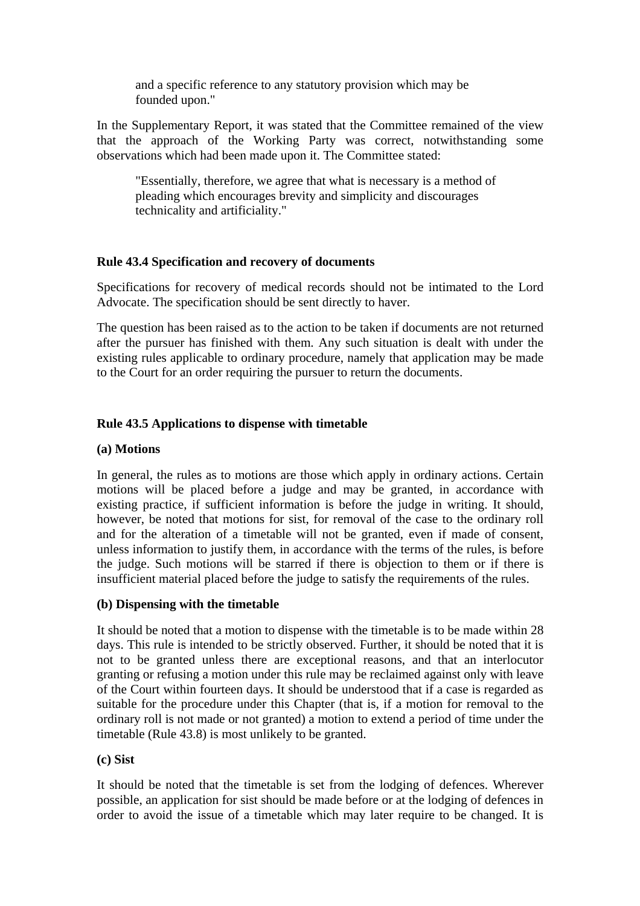and a specific reference to any statutory provision which may be founded upon."

In the Supplementary Report, it was stated that the Committee remained of the view that the approach of the Working Party was correct, notwithstanding some observations which had been made upon it. The Committee stated:

"Essentially, therefore, we agree that what is necessary is a method of pleading which encourages brevity and simplicity and discourages technicality and artificiality."

# **Rule 43.4 Specification and recovery of documents**

Specifications for recovery of medical records should not be intimated to the Lord Advocate. The specification should be sent directly to haver.

The question has been raised as to the action to be taken if documents are not returned after the pursuer has finished with them. Any such situation is dealt with under the existing rules applicable to ordinary procedure, namely that application may be made to the Court for an order requiring the pursuer to return the documents.

# **Rule 43.5 Applications to dispense with timetable**

#### **(a) Motions**

In general, the rules as to motions are those which apply in ordinary actions. Certain motions will be placed before a judge and may be granted, in accordance with existing practice, if sufficient information is before the judge in writing. It should, however, be noted that motions for sist, for removal of the case to the ordinary roll and for the alteration of a timetable will not be granted, even if made of consent, unless information to justify them, in accordance with the terms of the rules, is before the judge. Such motions will be starred if there is objection to them or if there is insufficient material placed before the judge to satisfy the requirements of the rules.

#### **(b) Dispensing with the timetable**

It should be noted that a motion to dispense with the timetable is to be made within 28 days. This rule is intended to be strictly observed. Further, it should be noted that it is not to be granted unless there are exceptional reasons, and that an interlocutor granting or refusing a motion under this rule may be reclaimed against only with leave of the Court within fourteen days. It should be understood that if a case is regarded as suitable for the procedure under this Chapter (that is, if a motion for removal to the ordinary roll is not made or not granted) a motion to extend a period of time under the timetable (Rule 43.8) is most unlikely to be granted.

## **(c) Sist**

It should be noted that the timetable is set from the lodging of defences. Wherever possible, an application for sist should be made before or at the lodging of defences in order to avoid the issue of a timetable which may later require to be changed. It is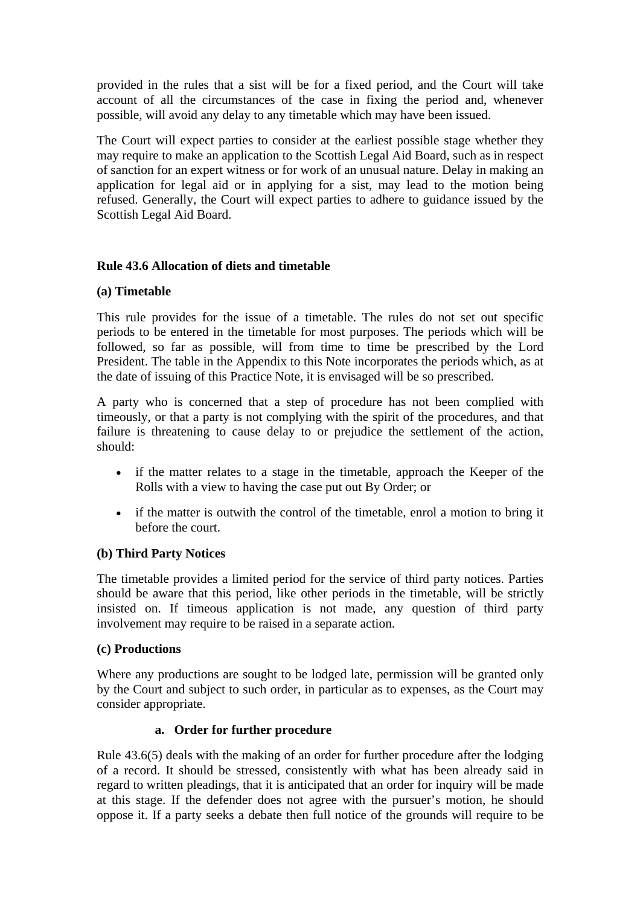provided in the rules that a sist will be for a fixed period, and the Court will take account of all the circumstances of the case in fixing the period and, whenever possible, will avoid any delay to any timetable which may have been issued.

The Court will expect parties to consider at the earliest possible stage whether they may require to make an application to the Scottish Legal Aid Board, such as in respect of sanction for an expert witness or for work of an unusual nature. Delay in making an application for legal aid or in applying for a sist, may lead to the motion being refused. Generally, the Court will expect parties to adhere to guidance issued by the Scottish Legal Aid Board.

# **Rule 43.6 Allocation of diets and timetable**

#### **(a) Timetable**

This rule provides for the issue of a timetable. The rules do not set out specific periods to be entered in the timetable for most purposes. The periods which will be followed, so far as possible, will from time to time be prescribed by the Lord President. The table in the Appendix to this Note incorporates the periods which, as at the date of issuing of this Practice Note, it is envisaged will be so prescribed.

A party who is concerned that a step of procedure has not been complied with timeously, or that a party is not complying with the spirit of the procedures, and that failure is threatening to cause delay to or prejudice the settlement of the action, should:

- if the matter relates to a stage in the timetable, approach the Keeper of the Rolls with a view to having the case put out By Order; or
- if the matter is outwith the control of the timetable, enrol a motion to bring it before the court.

#### **(b) Third Party Notices**

The timetable provides a limited period for the service of third party notices. Parties should be aware that this period, like other periods in the timetable, will be strictly insisted on. If timeous application is not made, any question of third party involvement may require to be raised in a separate action.

#### **(c) Productions**

Where any productions are sought to be lodged late, permission will be granted only by the Court and subject to such order, in particular as to expenses, as the Court may consider appropriate.

#### **a. Order for further procedure**

Rule 43.6(5) deals with the making of an order for further procedure after the lodging of a record. It should be stressed, consistently with what has been already said in regard to written pleadings, that it is anticipated that an order for inquiry will be made at this stage. If the defender does not agree with the pursuer's motion, he should oppose it. If a party seeks a debate then full notice of the grounds will require to be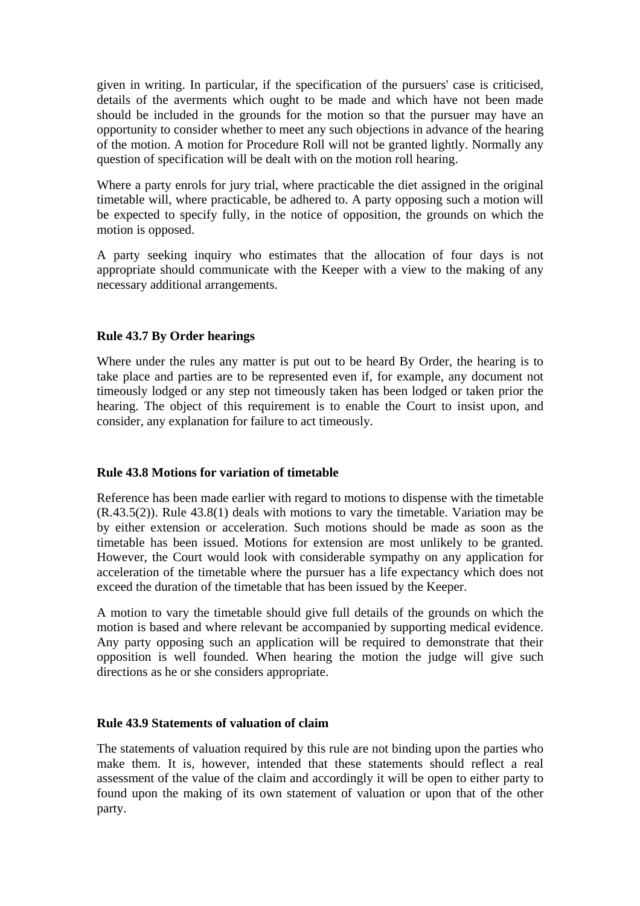given in writing. In particular, if the specification of the pursuers' case is criticised, details of the averments which ought to be made and which have not been made should be included in the grounds for the motion so that the pursuer may have an opportunity to consider whether to meet any such objections in advance of the hearing of the motion. A motion for Procedure Roll will not be granted lightly. Normally any question of specification will be dealt with on the motion roll hearing.

Where a party enrols for jury trial, where practicable the diet assigned in the original timetable will, where practicable, be adhered to. A party opposing such a motion will be expected to specify fully, in the notice of opposition, the grounds on which the motion is opposed.

A party seeking inquiry who estimates that the allocation of four days is not appropriate should communicate with the Keeper with a view to the making of any necessary additional arrangements.

# **Rule 43.7 By Order hearings**

Where under the rules any matter is put out to be heard By Order, the hearing is to take place and parties are to be represented even if, for example, any document not timeously lodged or any step not timeously taken has been lodged or taken prior the hearing. The object of this requirement is to enable the Court to insist upon, and consider, any explanation for failure to act timeously.

#### **Rule 43.8 Motions for variation of timetable**

Reference has been made earlier with regard to motions to dispense with the timetable (R.43.5(2)). Rule 43.8(1) deals with motions to vary the timetable. Variation may be by either extension or acceleration. Such motions should be made as soon as the timetable has been issued. Motions for extension are most unlikely to be granted. However, the Court would look with considerable sympathy on any application for acceleration of the timetable where the pursuer has a life expectancy which does not exceed the duration of the timetable that has been issued by the Keeper.

A motion to vary the timetable should give full details of the grounds on which the motion is based and where relevant be accompanied by supporting medical evidence. Any party opposing such an application will be required to demonstrate that their opposition is well founded. When hearing the motion the judge will give such directions as he or she considers appropriate.

## **Rule 43.9 Statements of valuation of claim**

The statements of valuation required by this rule are not binding upon the parties who make them. It is, however, intended that these statements should reflect a real assessment of the value of the claim and accordingly it will be open to either party to found upon the making of its own statement of valuation or upon that of the other party.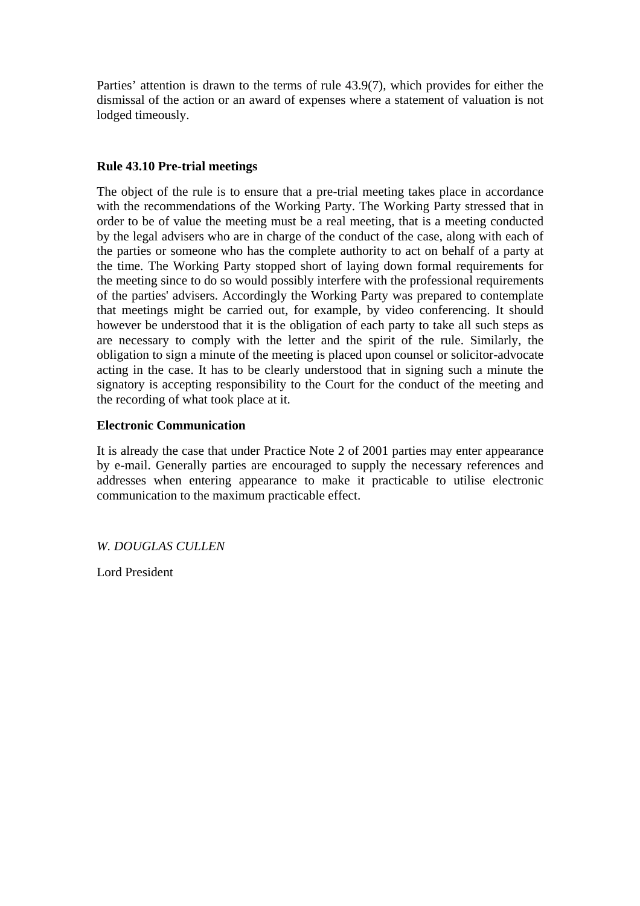Parties' attention is drawn to the terms of rule 43.9(7), which provides for either the dismissal of the action or an award of expenses where a statement of valuation is not lodged timeously.

# **Rule 43.10 Pre-trial meetings**

The object of the rule is to ensure that a pre-trial meeting takes place in accordance with the recommendations of the Working Party. The Working Party stressed that in order to be of value the meeting must be a real meeting, that is a meeting conducted by the legal advisers who are in charge of the conduct of the case, along with each of the parties or someone who has the complete authority to act on behalf of a party at the time. The Working Party stopped short of laying down formal requirements for the meeting since to do so would possibly interfere with the professional requirements of the parties' advisers. Accordingly the Working Party was prepared to contemplate that meetings might be carried out, for example, by video conferencing. It should however be understood that it is the obligation of each party to take all such steps as are necessary to comply with the letter and the spirit of the rule. Similarly, the obligation to sign a minute of the meeting is placed upon counsel or solicitor-advocate acting in the case. It has to be clearly understood that in signing such a minute the signatory is accepting responsibility to the Court for the conduct of the meeting and the recording of what took place at it.

# **Electronic Communication**

It is already the case that under Practice Note 2 of 2001 parties may enter appearance by e-mail. Generally parties are encouraged to supply the necessary references and addresses when entering appearance to make it practicable to utilise electronic communication to the maximum practicable effect.

*W. DOUGLAS CULLEN* 

Lord President